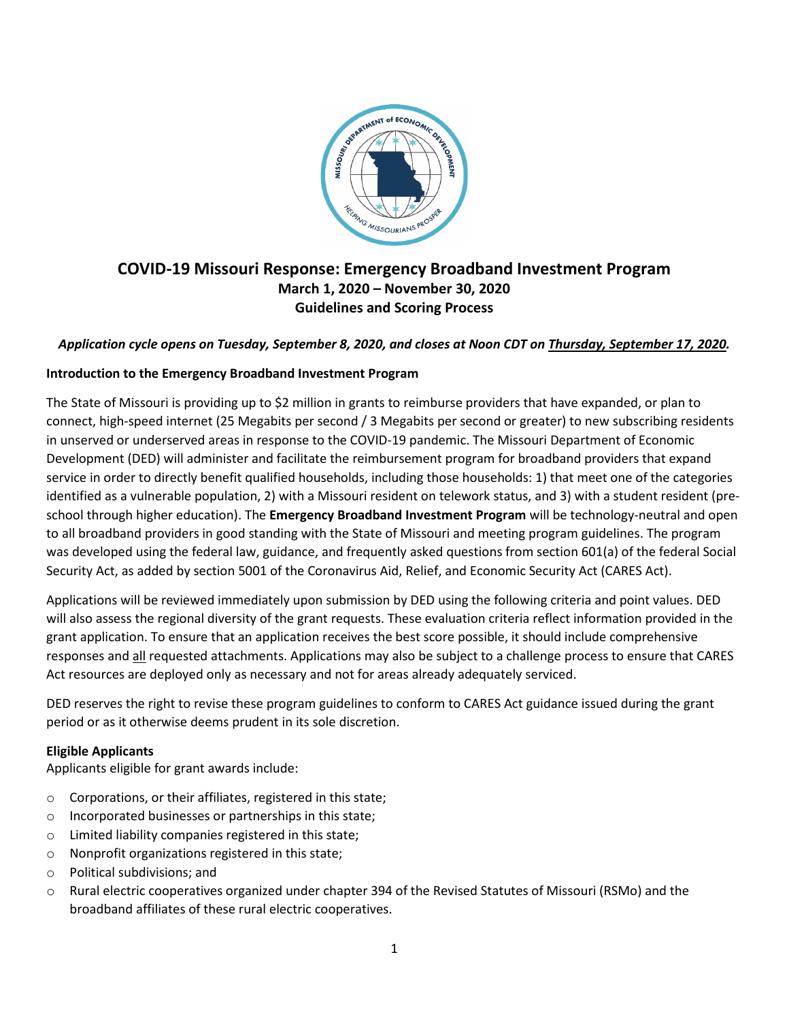

# **COVID-19 Missouri Response: Emergency Broadband Investment Program March 1, 2020 – November 30, 2020 Guidelines and Scoring Process**

### *Application cycle opens on Tuesday, September 8, 2020, and closes at Noon CDT on Thursday, September 17, 2020.*

### **Introduction to the Emergency Broadband Investment Program**

The State of Missouri is providing up to \$2 million in grants to reimburse providers that have expanded, or plan to connect, high-speed internet (25 Megabits per second / 3 Megabits per second or greater) to new subscribing residents in unserved or underserved areas in response to the COVID-19 pandemic. The Missouri Department of Economic Development (DED) will administer and facilitate the reimbursement program for broadband providers that expand service in order to directly benefit qualified households, including those households: 1) that meet one of the categories identified as a vulnerable population, 2) with a Missouri resident on telework status, and 3) with a student resident (preschool through higher education). The **Emergency Broadband Investment Program** will be technology-neutral and open to all broadband providers in good standing with the State of Missouri and meeting program guidelines. The program was developed using the federal law, guidance, and frequently asked questions from section 601(a) of the federal Social Security Act, as added by section 5001 of the Coronavirus Aid, Relief, and Economic Security Act (CARES Act).

Applications will be reviewed immediately upon submission by DED using the following criteria and point values. DED will also assess the regional diversity of the grant requests. These evaluation criteria reflect information provided in the grant application. To ensure that an application receives the best score possible, it should include comprehensive responses and all requested attachments. Applications may also be subject to a challenge process to ensure that CARES Act resources are deployed only as necessary and not for areas already adequately serviced.

DED reserves the right to revise these program guidelines to conform to CARES Act guidance issued during the grant period or as it otherwise deems prudent in its sole discretion.

#### **Eligible Applicants**

Applicants eligible for grant awards include:

- o Corporations, or their affiliates, registered in this state;
- o Incorporated businesses or partnerships in this state;
- o Limited liability companies registered in this state;
- o Nonprofit organizations registered in this state;
- o Political subdivisions; and
- o Rural electric cooperatives organized under chapter 394 of the Revised Statutes of Missouri (RSMo) and the broadband affiliates of these rural electric cooperatives.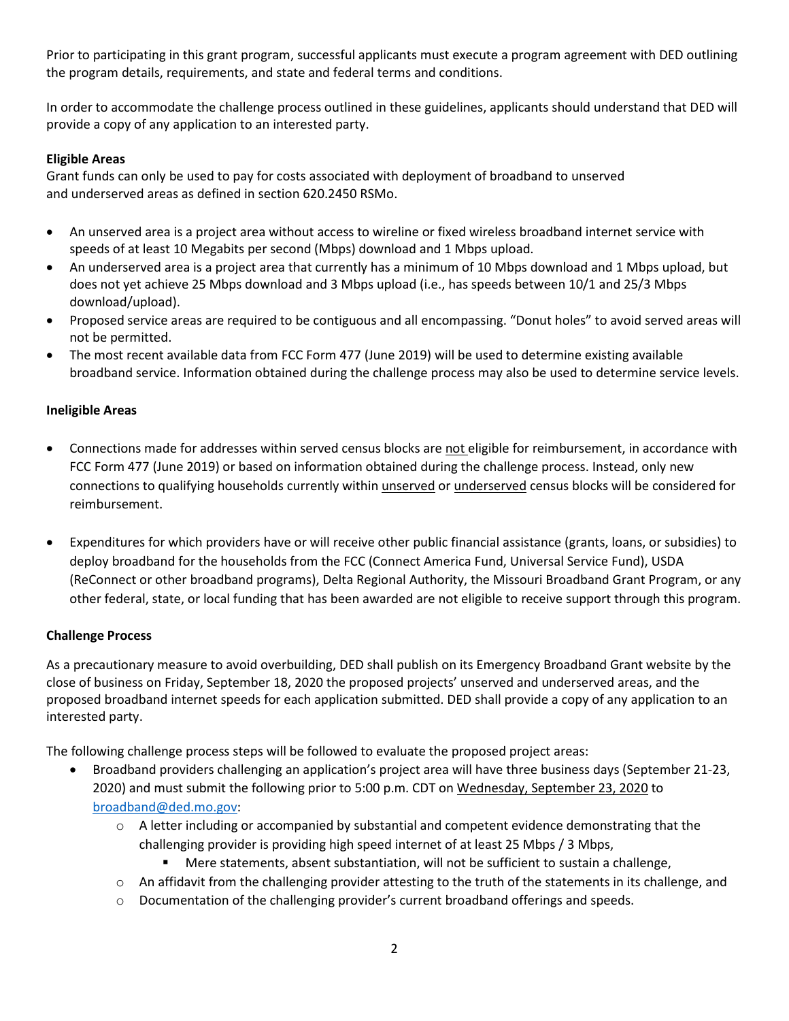Prior to participating in this grant program, successful applicants must execute a program agreement with DED outlining the program details, requirements, and state and federal terms and conditions.

In order to accommodate the challenge process outlined in these guidelines, applicants should understand that DED will provide a copy of any application to an interested party.

# **Eligible Areas**

Grant funds can only be used to pay for costs associated with deployment of broadband to unserved and underserved areas as defined in section 620.2450 RSMo.

- An unserved area is a project area without access to wireline or fixed wireless broadband internet service with speeds of at least 10 Megabits per second (Mbps) download and 1 Mbps upload.
- An underserved area is a project area that currently has a minimum of 10 Mbps download and 1 Mbps upload, but does not yet achieve 25 Mbps download and 3 Mbps upload (i.e., has speeds between 10/1 and 25/3 Mbps download/upload).
- Proposed service areas are required to be contiguous and all encompassing. "Donut holes" to avoid served areas will not be permitted.
- The most recent available data from FCC Form 477 (June 2019) will be used to determine existing available broadband service. Information obtained during the challenge process may also be used to determine service levels.

### **Ineligible Areas**

- Connections made for addresses within served census blocks are not eligible for reimbursement, in accordance with FCC Form 477 (June 2019) or based on information obtained during the challenge process. Instead, only new connections to qualifying households currently within unserved or underserved census blocks will be considered for reimbursement.
- Expenditures for which providers have or will receive other public financial assistance (grants, loans, or subsidies) to deploy broadband for the households from the FCC (Connect America Fund, Universal Service Fund), USDA (ReConnect or other broadband programs), Delta Regional Authority, the Missouri Broadband Grant Program, or any other federal, state, or local funding that has been awarded are not eligible to receive support through this program.

### **Challenge Process**

As a precautionary measure to avoid overbuilding, DED shall publish on its Emergency Broadband Grant website by the close of business on Friday, September 18, 2020 the proposed projects' unserved and underserved areas, and the proposed broadband internet speeds for each application submitted. DED shall provide a copy of any application to an interested party.

The following challenge process steps will be followed to evaluate the proposed project areas:

- Broadband providers challenging an application's project area will have three business days (September 21-23, 2020) and must submit the following prior to 5:00 p.m. CDT on Wednesday, September 23, 2020 to [broadband@ded.mo.gov:](mailto:broadband@ded.mo.gov)
	- $\circ$  A letter including or accompanied by substantial and competent evidence demonstrating that the challenging provider is providing high speed internet of at least 25 Mbps / 3 Mbps,
		- Mere statements, absent substantiation, will not be sufficient to sustain a challenge,
	- o An affidavit from the challenging provider attesting to the truth of the statements in its challenge, and
	- o Documentation of the challenging provider's current broadband offerings and speeds.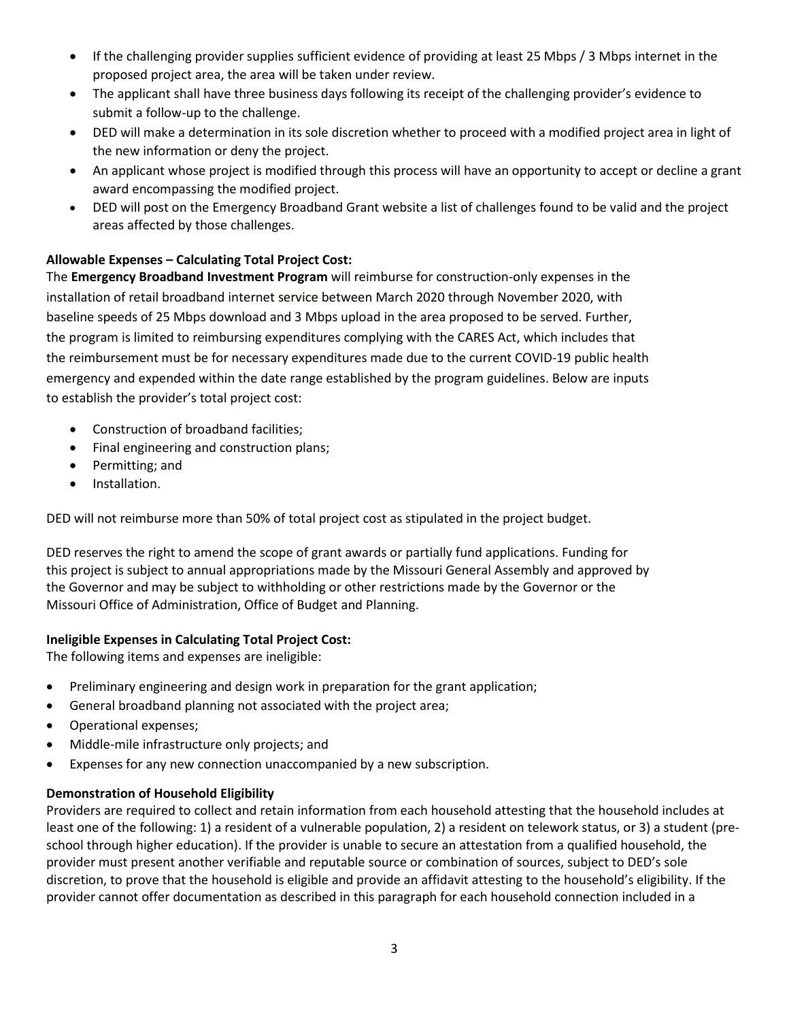- If the challenging provider supplies sufficient evidence of providing at least 25 Mbps / 3 Mbps internet in the proposed project area, the area will be taken under review.
- The applicant shall have three business days following its receipt of the challenging provider's evidence to submit a follow-up to the challenge.
- DED will make a determination in its sole discretion whether to proceed with a modified project area in light of the new information or deny the project.
- An applicant whose project is modified through this process will have an opportunity to accept or decline a grant award encompassing the modified project.
- DED will post on the Emergency Broadband Grant website a list of challenges found to be valid and the project areas affected by those challenges.

# **Allowable Expenses – Calculating Total Project Cost:**

The **Emergency Broadband Investment Program** will reimburse for construction-only expenses in the installation of retail broadband internet service between March 2020 through November 2020, with baseline speeds of 25 Mbps download and 3 Mbps upload in the area proposed to be served. Further, the program is limited to reimbursing expenditures complying with the CARES Act, which includes that the reimbursement must be for necessary expenditures made due to the current COVID-19 public health emergency and expended within the date range established by the program guidelines. Below are inputs to establish the provider's total project cost:

- Construction of broadband facilities;
- Final engineering and construction plans;
- Permitting; and
- Installation.

DED will not reimburse more than 50% of total project cost as stipulated in the project budget.

DED reserves the right to amend the scope of grant awards or partially fund applications. Funding for this project is subject to annual appropriations made by the Missouri General Assembly and approved by the Governor and may be subject to withholding or other restrictions made by the Governor or the Missouri Office of Administration, Office of Budget and Planning.

### **Ineligible Expenses in Calculating Total Project Cost:**

The following items and expenses are ineligible:

- Preliminary engineering and design work in preparation for the grant application;
- General broadband planning not associated with the project area;
- Operational expenses;
- Middle-mile infrastructure only projects; and
- Expenses for any new connection unaccompanied by a new subscription.

### **Demonstration of Household Eligibility**

Providers are required to collect and retain information from each household attesting that the household includes at least one of the following: 1) a resident of a vulnerable population, 2) a resident on telework status, or 3) a student (preschool through higher education). If the provider is unable to secure an attestation from a qualified household, the provider must present another verifiable and reputable source or combination of sources, subject to DED's sole discretion, to prove that the household is eligible and provide an affidavit attesting to the household's eligibility. If the provider cannot offer documentation as described in this paragraph for each household connection included in a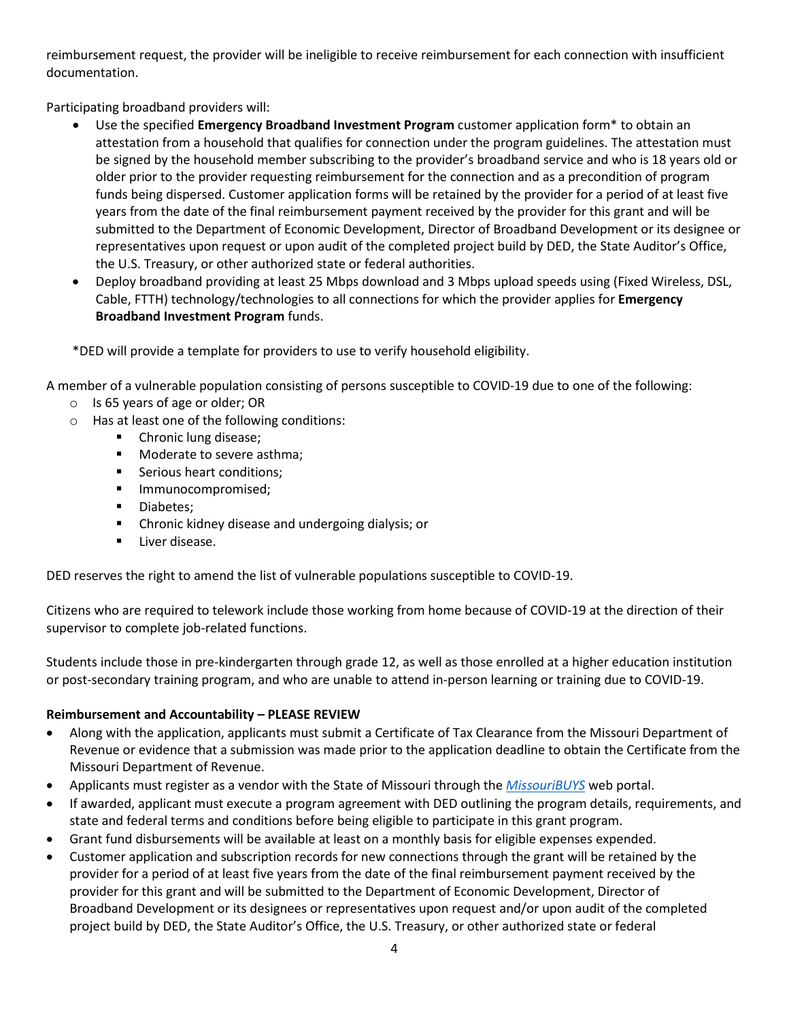reimbursement request, the provider will be ineligible to receive reimbursement for each connection with insufficient documentation.

Participating broadband providers will:

- Use the specified **Emergency Broadband Investment Program** customer application form\* to obtain an attestation from a household that qualifies for connection under the program guidelines. The attestation must be signed by the household member subscribing to the provider's broadband service and who is 18 years old or older prior to the provider requesting reimbursement for the connection and as a precondition of program funds being dispersed. Customer application forms will be retained by the provider for a period of at least five years from the date of the final reimbursement payment received by the provider for this grant and will be submitted to the Department of Economic Development, Director of Broadband Development or its designee or representatives upon request or upon audit of the completed project build by DED, the State Auditor's Office, the U.S. Treasury, or other authorized state or federal authorities.
- Deploy broadband providing at least 25 Mbps download and 3 Mbps upload speeds using (Fixed Wireless, DSL, Cable, FTTH) technology/technologies to all connections for which the provider applies for **Emergency Broadband Investment Program** funds.

\*DED will provide a template for providers to use to verify household eligibility.

A member of a vulnerable population consisting of persons susceptible to COVID-19 due to one of the following:

- o Is 65 years of age or older; OR
- o Has at least one of the following conditions:
	- **•** Chronic lung disease;
	- **Noderate to severe asthma;**
	- **Serious heart conditions;**
	- **Immunocompromised;**
	- **Diabetes:**
	- **EXTED Chronic kidney disease and undergoing dialysis; or**
	- Liver disease.

DED reserves the right to amend the list of vulnerable populations susceptible to COVID-19.

Citizens who are required to telework include those working from home because of COVID-19 at the direction of their supervisor to complete job-related functions.

Students include those in pre-kindergarten through grade 12, as well as those enrolled at a higher education institution or post-secondary training program, and who are unable to attend in-person learning or training due to COVID-19.

### **Reimbursement and Accountability – PLEASE REVIEW**

- Along with the application, applicants must submit a Certificate of Tax Clearance from the Missouri Department of Revenue or evidence that a submission was made prior to the application deadline to obtain the Certificate from the Missouri Department of Revenue.
- Applicants must register as a vendor with the State of Missouri through the *[MissouriBUYS](https://missouribuys.mo.gov/registration)* web portal.
- If awarded, applicant must execute a program agreement with DED outlining the program details, requirements, and state and federal terms and conditions before being eligible to participate in this grant program.
- Grant fund disbursements will be available at least on a monthly basis for eligible expenses expended.
- Customer application and subscription records for new connections through the grant will be retained by the provider for a period of at least five years from the date of the final reimbursement payment received by the provider for this grant and will be submitted to the Department of Economic Development, Director of Broadband Development or its designees or representatives upon request and/or upon audit of the completed project build by DED, the State Auditor's Office, the U.S. Treasury, or other authorized state or federal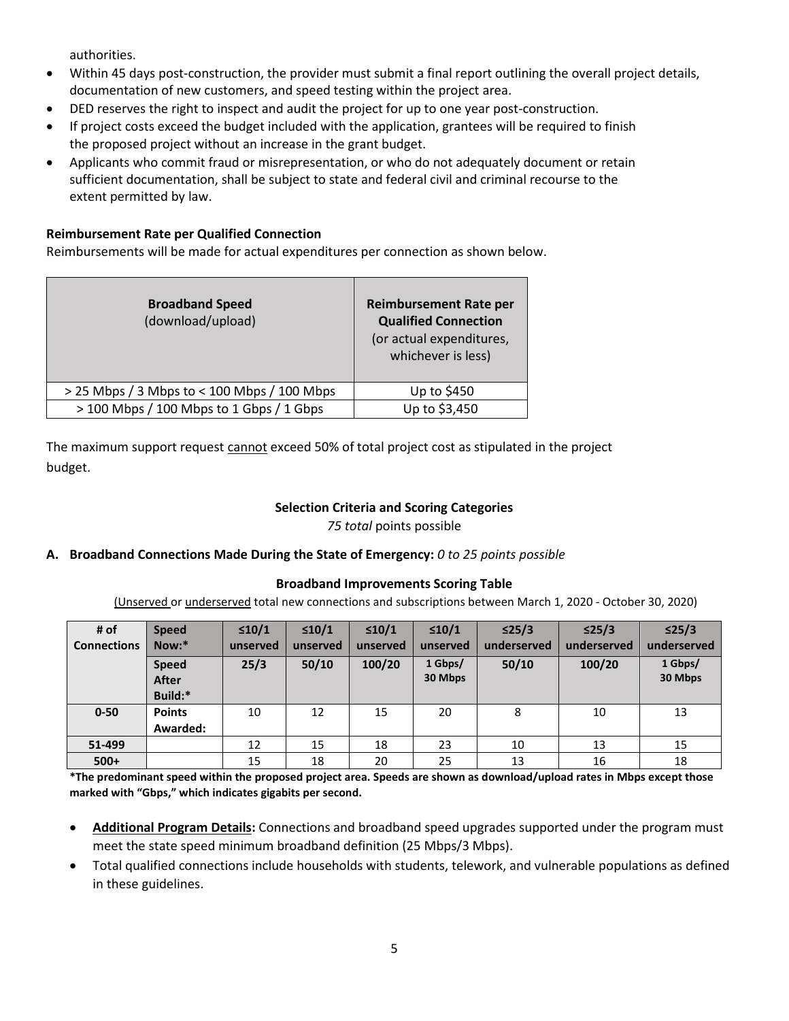authorities.

- Within 45 days post-construction, the provider must submit a final report outlining the overall project details, documentation of new customers, and speed testing within the project area.
- DED reserves the right to inspect and audit the project for up to one year post-construction.
- If project costs exceed the budget included with the application, grantees will be required to finish the proposed project without an increase in the grant budget.
- Applicants who commit fraud or misrepresentation, or who do not adequately document or retain sufficient documentation, shall be subject to state and federal civil and criminal recourse to the extent permitted by law.

# **Reimbursement Rate per Qualified Connection**

Reimbursements will be made for actual expenditures per connection as shown below.

| <b>Broadband Speed</b><br>(download/upload) | <b>Reimbursement Rate per</b><br><b>Qualified Connection</b><br>(or actual expenditures,<br>whichever is less) |
|---------------------------------------------|----------------------------------------------------------------------------------------------------------------|
| > 25 Mbps / 3 Mbps to < 100 Mbps / 100 Mbps | Up to \$450                                                                                                    |
| > 100 Mbps / 100 Mbps to 1 Gbps / 1 Gbps    | Up to \$3,450                                                                                                  |

The maximum support request cannot exceed 50% of total project cost as stipulated in the project budget.

# **Selection Criteria and Scoring Categories**

*75 total* points possible

### **A. Broadband Connections Made During the State of Emergency:** *0 to 25 points possible*

### **Broadband Improvements Scoring Table**

(Unserved or underserved total new connections and subscriptions between March 1, 2020 - October 30, 2020)

| # of               | <b>Speed</b>  | $\leq 10/1$ | $\leq 10/1$ | $\leq 10/1$ | $\leq 10/1$ | $\leq$ 25/3 | $\leq$ 25/3 | $\leq$ 25/3 |
|--------------------|---------------|-------------|-------------|-------------|-------------|-------------|-------------|-------------|
| <b>Connections</b> | Now:*         | unserved    | unserved    | unserved    | unserved    | underserved | underserved | underserved |
|                    | <b>Speed</b>  | 25/3        | 50/10       | 100/20      | 1 Gbps/     | 50/10       | 100/20      | 1 Gbps/     |
|                    | <b>After</b>  |             |             |             | 30 Mbps     |             |             | 30 Mbps     |
|                    | Build:*       |             |             |             |             |             |             |             |
| $0 - 50$           | <b>Points</b> | 10          | 12          | 15          | 20          | 8           | 10          | 13          |
|                    | Awarded:      |             |             |             |             |             |             |             |
| 51-499             |               | 12          | 15          | 18          | 23          | 10          | 13          | 15          |
| $500+$             |               | 15          | 18          | 20          | 25          | 13          | 16          | 18          |

**\*The predominant speed within the proposed project area. Speeds are shown as download/upload rates in Mbps except those marked with "Gbps," which indicates gigabits per second.**

- **Additional Program Details:** Connections and broadband speed upgrades supported under the program must meet the state speed minimum broadband definition (25 Mbps/3 Mbps).
- Total qualified connections include households with students, telework, and vulnerable populations as defined in these guidelines.